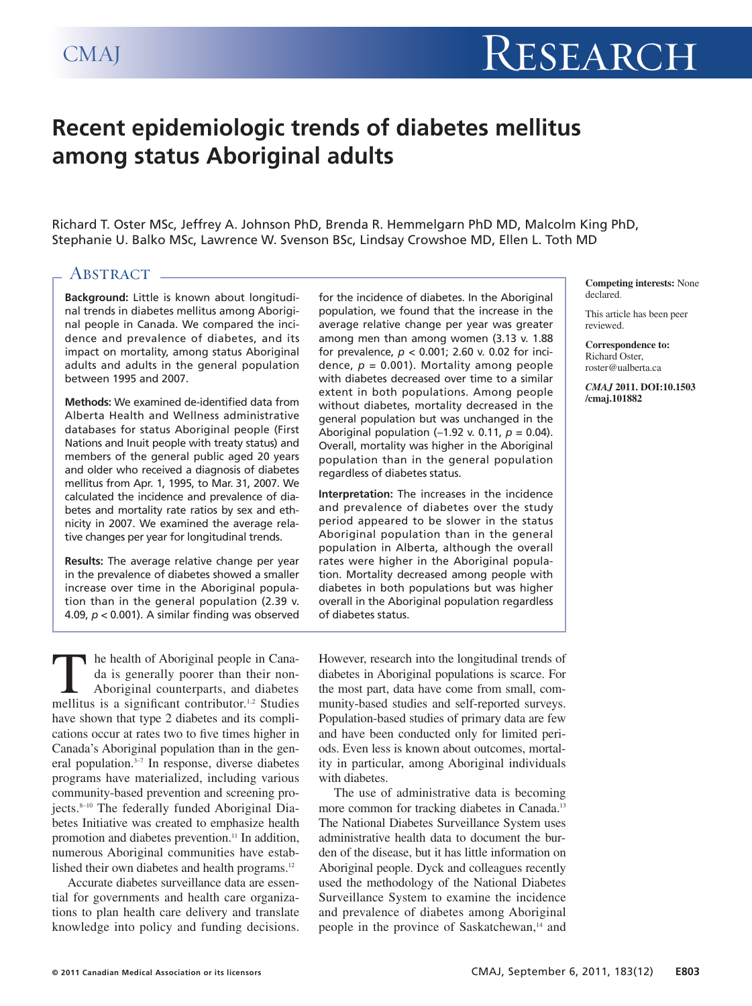# **Recent epidemiologic trends of diabetes mellitus among status Aboriginal adults**

Richard T. Oster MSc, Jeffrey A. Johnson PhD, Brenda R. Hemmelgarn PhD MD, Malcolm King PhD, Stephanie U. Balko MSc, Lawrence W. Svenson BSc, Lindsay Crowshoe MD, Ellen L. Toth MD

# **ABSTRACT**

**Background:** Little is known about longitudinal trends in diabetes mellitus among Aboriginal people in Canada. We compared the incidence and prevalence of diabetes, and its impact on mortality, among status Aboriginal adults and adults in the general population between 1995 and 2007.

**Methods:** We examined de-identified data from Alberta Health and Wellness administrative databases for status Aboriginal people (First Nations and Inuit people with treaty status) and members of the general public aged 20 years and older who received a diagnosis of diabetes mellitus from Apr. 1, 1995, to Mar. 31, 2007. We calculated the incidence and prevalence of diabetes and mortality rate ratios by sex and ethnicity in 2007. We examined the average relative changes per year for longitudinal trends.

**Results:** The average relative change per year in the prevalence of diabetes showed a smaller increase over time in the Aboriginal population than in the general population (2.39 v. 4.09, *p* < 0.001). A similar finding was observed for the incidence of diabetes. In the Aboriginal population, we found that the increase in the average relative change per year was greater among men than among women (3.13 v. 1.88 for prevalence, *p* < 0.001; 2.60 v. 0.02 for incidence,  $p = 0.001$ ). Mortality among people with diabetes decreased over time to a similar extent in both populations. Among people without diabetes, mortality decreased in the general population but was unchanged in the Aboriginal population (−1.92 v. 0.11, *p* = 0.04). Overall, mortality was higher in the Aboriginal population than in the general population regardless of diabetes status.

**Interpretation:** The increases in the incidence and prevalence of diabetes over the study period appeared to be slower in the status Aboriginal population than in the general population in Alberta, although the overall rates were higher in the Aboriginal population. Mortality decreased among people with diabetes in both populations but was higher overall in the Aboriginal population regardless of diabetes status.

**Competing interests:** None declared.

This article has been peer reviewed.

**Correspondence to:** Richard Oster, roster@ualberta.ca

*CMAJ* **2011. DOI:10.1503 /cmaj.101882**

The health of Aboriginal people in Cana-<br>da is generally poorer than their non-<br>Aboriginal counterparts, and diabetes<br>mellitus is a significant contributor.<sup>1,2</sup> Studies da is generally poorer than their non-Aboriginal counterparts, and diabetes mellitus is a significant contributor. 1,2 Studies have shown that type 2 diabetes and its complications occur at rates two to five times higher in Canada's Aboriginal population than in the general population. 3–7 In response, diverse diabetes programs have materialized, including various community-based prevention and screening projects. 8–10 The federally funded Aboriginal Diabetes Initiative was created to emphasize health promotion and diabetes prevention.<sup>11</sup> In addition, numerous Aboriginal communities have established their own diabetes and health programs.<sup>12</sup>

Accurate diabetes surveillance data are essential for governments and health care organizations to plan health care delivery and translate knowledge into policy and funding decisions. However, research into the longitudinal trends of diabetes in Aboriginal populations is scarce. For the most part, data have come from small, community-based studies and self-reported surveys. Population-based studies of primary data are few and have been conducted only for limited periods. Even less is known about outcomes, mortality in particular, among Aboriginal individuals with diabetes.

The use of administrative data is becoming more common for tracking diabetes in Canada. 13 The National Diabetes Surveillance System uses administrative health data to document the burden of the disease, but it has little information on Aboriginal people. Dyck and colleagues recently used the methodology of the National Diabetes Surveillance System to examine the incidence and prevalence of diabetes among Aboriginal people in the province of Saskatchewan, <sup>14</sup> and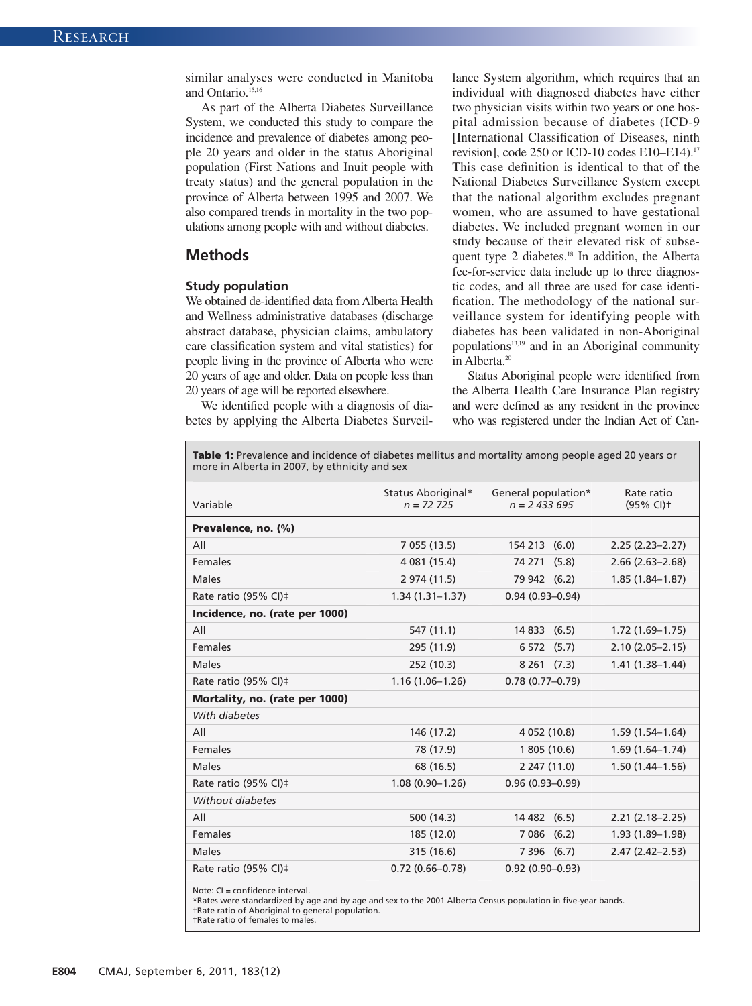similar analyses were conducted in Manitoba and Ontario. 15,16

As part of the Alberta Diabetes Surveillance System, we conducted this study to compare the incidence and prevalence of diabetes among people 20 years and older in the status Aboriginal population (First Nations and Inuit people with treaty status) and the general population in the province of Alberta between 1995 and 2007. We also compared trends in mortality in the two populations among people with and without diabetes.

# **Methods**

#### **Study population**

We obtained de-identified data from Alberta Health and Wellness administrative databases (discharge abstract database, physician claims, ambulatory care classification system and vital statistics) for people living in the province of Alberta who were 20 years of age and older. Data on people less than 20 years of age will be reported elsewhere.

We identified people with a diagnosis of diabetes by applying the Alberta Diabetes Surveillance System algorithm, which requires that an individual with diagnosed diabetes have either two physician visits within two years or one hospital admission because of diabetes (ICD-9 [International Classification of Diseases, ninth revision], code 250 or ICD-10 codes E10–E14). 17 This case definition is identical to that of the National Diabetes Surveillance System except that the national algorithm excludes pregnant women, who are assumed to have gestational diabetes. We included pregnant women in our study because of their elevated risk of subsequent type 2 diabetes. <sup>18</sup> In addition, the Alberta fee-for-service data include up to three diagnostic codes, and all three are used for case identification. The methodology of the national surveillance system for identifying people with diabetes has been validated in non-Aboriginal populations13,19 and in an Aboriginal community in Alberta. 20

Status Aboriginal people were identified from the Alberta Health Care Insurance Plan registry and were defined as any resident in the province who was registered under the Indian Act of Can-

**Table 1:** Prevalence and incidence of diabetes mellitus and mortality among people aged 20 years or more in Alberta in 2007, by ethnicity and sex

| Variable                       | Status Aboriginal*<br>$n = 72,725$ | General population*<br>$n = 2433695$ | Rate ratio<br>$(95% CI)$ <sup>+</sup> |
|--------------------------------|------------------------------------|--------------------------------------|---------------------------------------|
| Prevalence, no. (%)            |                                    |                                      |                                       |
| All                            | 7 055 (13.5)                       | 154 213 (6.0)                        | $2.25(2.23 - 2.27)$                   |
| <b>Females</b>                 | 4 081 (15.4)                       | 74 271 (5.8)                         | $2.66(2.63 - 2.68)$                   |
| <b>Males</b>                   | 2 974 (11.5)                       | 79 942 (6.2)                         | $1.85(1.84 - 1.87)$                   |
| Rate ratio (95% CI)‡           | $1.34(1.31 - 1.37)$                | $0.94(0.93 - 0.94)$                  |                                       |
| Incidence, no. (rate per 1000) |                                    |                                      |                                       |
| All                            | 547 (11.1)                         | 14 833 (6.5)                         | $1.72(1.69 - 1.75)$                   |
| <b>Females</b>                 | 295 (11.9)                         | 6 572 (5.7)                          | $2.10(2.05 - 2.15)$                   |
| Males                          | 252 (10.3)                         | 8261(7.3)                            | $1.41(1.38 - 1.44)$                   |
| Rate ratio (95% CI)‡           | $1.16(1.06 - 1.26)$                | $0.78(0.77-0.79)$                    |                                       |
| Mortality, no. (rate per 1000) |                                    |                                      |                                       |
| With diabetes                  |                                    |                                      |                                       |
| All                            | 146 (17.2)                         | 4 052 (10.8)                         | $1.59(1.54 - 1.64)$                   |
| Females                        | 78 (17.9)                          | 1 805 (10.6)                         | $1.69(1.64 - 1.74)$                   |
| Males                          | 68 (16.5)                          | 2 247 (11.0)                         | $1.50(1.44 - 1.56)$                   |
| Rate ratio (95% CI)‡           | $1.08(0.90 - 1.26)$                | $0.96(0.93 - 0.99)$                  |                                       |
| Without diabetes               |                                    |                                      |                                       |
| All                            | 500 (14.3)                         | 14 482<br>(6.5)                      | $2.21(2.18 - 2.25)$                   |
| Females                        | 185 (12.0)                         | 7 086 (6.2)                          | $1.93(1.89 - 1.98)$                   |
| Males                          | 315 (16.6)                         | 7 396 (6.7)                          | $2.47(2.42 - 2.53)$                   |
| Rate ratio (95% CI)‡           | $0.72(0.66 - 0.78)$                | $0.92(0.90 - 0.93)$                  |                                       |

Note: CI = confidence interval.

\*Rates were standardized by age and by age and sex to the 2001 Alberta Census population in five-year bands. †Rate ratio of Aboriginal to general population.

‡Rate ratio of females to males.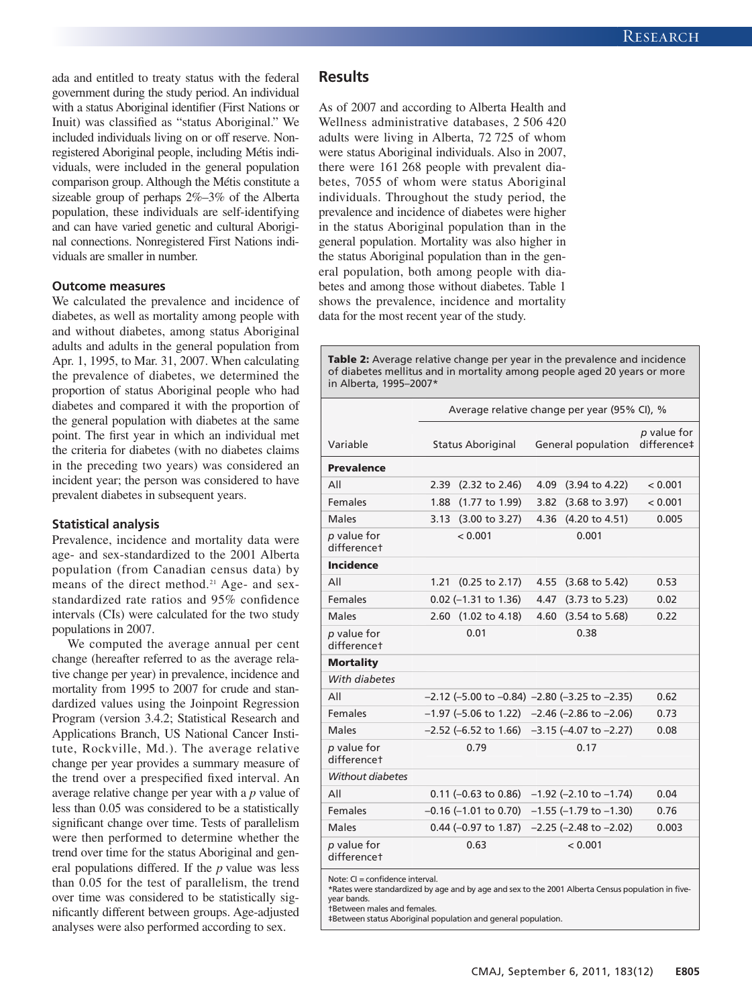ada and entitled to treaty status with the federal government during the study period. An individual with a status Aboriginal identifier (First Nations or Inuit) was classified as "status Aboriginal." We included individuals living on or off reserve. Nonregistered Aboriginal people, including Métis individuals, were included in the general population comparison group. Although the Métis constitute a sizeable group of perhaps 2%–3% of the Alberta population, these individuals are self-identifying and can have varied genetic and cultural Aboriginal connections. Nonregistered First Nations individuals are smaller in number.

## **Outcome measures**

We calculated the prevalence and incidence of diabetes, as well as mortality among people with and without diabetes, among status Aboriginal adults and adults in the general population from Apr. 1, 1995, to Mar. 31, 2007. When calculating the prevalence of diabetes, we determined the proportion of status Aboriginal people who had diabetes and compared it with the proportion of the general population with diabetes at the same point. The first year in which an individual met the criteria for diabetes (with no diabetes claims in the preceding two years) was considered an incident year; the person was considered to have prevalent diabetes in subsequent years.

#### **Statistical analysis**

Prevalence, incidence and mortality data were age- and sex-standardized to the 2001 Alberta population (from Canadian census data) by means of the direct method. <sup>21</sup> Age- and sexstandardized rate ratios and 95% confidence intervals (CIs) were calculated for the two study populations in 2007.

We computed the average annual per cent change (hereafter referred to as the average relative change per year) in prevalence, incidence and mortality from 1995 to 2007 for crude and standardized values using the Joinpoint Regression Program (version 3.4.2; Statistical Research and Applications Branch, US National Cancer Institute, Rockville, Md.). The average relative change per year provides a summary measure of the trend over a prespecified fixed interval. An average relative change per year with a *p* value of less than 0.05 was considered to be a statistically significant change over time. Tests of parallelism were then performed to determine whether the trend over time for the status Aboriginal and general populations differed. If the *p* value was less than 0.05 for the test of parallelism, the trend over time was considered to be statistically significantly different between groups. Age-adjusted analyses were also performed according to sex.

# **Results**

As of 2007 and according to Alberta Health and Wellness administrative databases, 2 506 420 adults were living in Alberta, 72 725 of whom were status Aboriginal individuals. Also in 2007, there were 161 268 people with prevalent diabetes, 7055 of whom were status Aboriginal individuals. Throughout the study period, the prevalence and incidence of diabetes were higher in the status Aboriginal population than in the general population. Mortality was also higher in the status Aboriginal population than in the general population, both among people with diabetes and among those without diabetes. Table 1 shows the prevalence, incidence and mortality data for the most recent year of the study.

**Table 2:** Average relative change per year in the prevalence and incidence of diabetes mellitus and in mortality among people aged 20 years or more in Alberta, 1995–2007\*

|                                 | Average relative change per year (95% CI), % |                                                         |                            |  |
|---------------------------------|----------------------------------------------|---------------------------------------------------------|----------------------------|--|
| Variable                        | <b>Status Aboriginal</b>                     | General population                                      | p value for<br>difference‡ |  |
| <b>Prevalence</b>               |                                              |                                                         |                            |  |
| All                             | $(2.32 \text{ to } 2.46)$<br>2.39            | $(3.94 \text{ to } 4.22)$<br>4.09                       | < 0.001                    |  |
| Females                         | (1.77 to 1.99)<br>1.88                       | 3.82<br>$(3.68 \text{ to } 3.97)$                       | < 0.001                    |  |
| Males                           | $(3.00 \text{ to } 3.27)$<br>3.13            | 4.36<br>$(4.20 \text{ to } 4.51)$                       | 0.005                      |  |
| p value for<br>differencet      | < 0.001                                      | 0.001                                                   |                            |  |
| <b>Incidence</b>                |                                              |                                                         |                            |  |
| All                             | 1.21<br>$(0.25 \text{ to } 2.17)$            | 4.55<br>$(3.68 \text{ to } 5.42)$                       | 0.53                       |  |
| Females                         | $0.02$ (-1.31 to 1.36)                       | $(3.73 \text{ to } 5.23)$<br>4.47                       | 0.02                       |  |
| Males                           | 2.60<br>(1.02 to 4.18)                       | 4.60<br>$(3.54 \text{ to } 5.68)$                       | 0.22                       |  |
| p value for<br>differencet      | 0.01                                         | 0.38                                                    |                            |  |
| <b>Mortality</b>                |                                              |                                                         |                            |  |
| With diabetes                   |                                              |                                                         |                            |  |
| All                             |                                              | $-2.12$ (-5.00 to $-0.84$ ) $-2.80$ (-3.25 to $-2.35$ ) | 0.62                       |  |
| <b>Females</b>                  |                                              | $-1.97$ (-5.06 to 1.22) $-2.46$ (-2.86 to -2.06)        | 0.73                       |  |
| Males                           |                                              | $-2.52$ (-6.52 to 1.66) $-3.15$ (-4.07 to $-2.27$ )     | 0.08                       |  |
| p value for<br>differencet      | 0.79                                         | 0.17                                                    |                            |  |
| Without diabetes                |                                              |                                                         |                            |  |
| All                             | $0.11$ (-0.63 to 0.86)                       | $-1.92$ (-2.10 to $-1.74$ )                             | 0.04                       |  |
| Females                         | $-0.16$ ( $-1.01$ to 0.70)                   | $-1.55$ ( $-1.79$ to $-1.30$ )                          | 0.76                       |  |
| Males                           | $0.44$ (-0.97 to 1.87)                       | $-2.25$ ( $-2.48$ to $-2.02$ )                          | 0.003                      |  |
| p value for<br>differencet      | 0.63                                         | < 0.001                                                 |                            |  |
| Note: CI = confidence interval. |                                              |                                                         |                            |  |

\*Rates were standardized by age and by age and sex to the 2001 Alberta Census population in fiveyear bands.

†Between males and females.

‡Between status Aboriginal population and general population.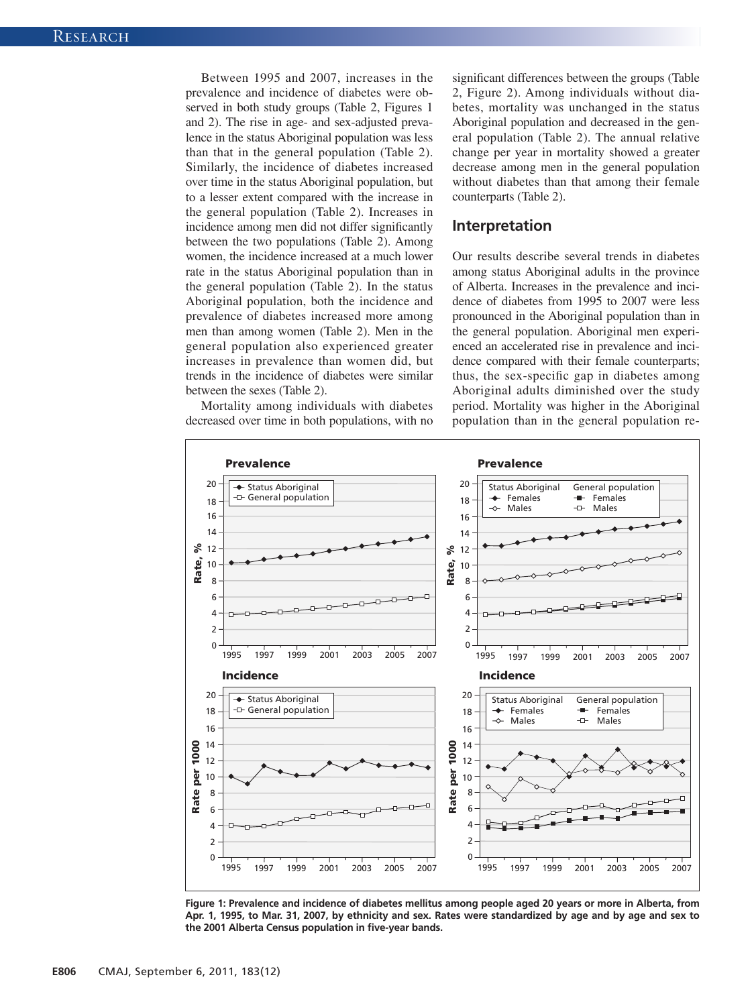Between 1995 and 2007, increases in the prevalence and incidence of diabetes were observed in both study groups (Table 2, Figures 1 and 2). The rise in age- and sex-adjusted prevalence in the status Aboriginal population was less than that in the general population (Table 2). Similarly, the incidence of diabetes increased over time in the status Aboriginal population, but to a lesser extent compared with the increase in the general population (Table 2). Increases in incidence among men did not differ significantly between the two populations (Table 2). Among women, the incidence increased at a much lower rate in the status Aboriginal population than in the general population (Table 2). In the status Aboriginal population, both the incidence and prevalence of diabetes increased more among men than among women (Table 2). Men in the general population also experienced greater increases in prevalence than women did, but trends in the incidence of diabetes were similar between the sexes (Table 2).

Mortality among individuals with diabetes decreased over time in both populations, with no significant differences between the groups (Table 2, Figure 2). Among individuals without diabetes, mortality was unchanged in the status Aboriginal population and decreased in the general population (Table 2). The annual relative change per year in mortality showed a greater decrease among men in the general population without diabetes than that among their female counterparts (Table 2).

## **Interpretation**

Our results describe several trends in diabetes among status Aboriginal adults in the province of Alberta. Increases in the prevalence and incidence of diabetes from 1995 to 2007 were less pronounced in the Aboriginal population than in the general population. Aboriginal men experienced an accelerated rise in prevalence and incidence compared with their female counterparts; thus, the sex-specific gap in diabetes among Aboriginal adults diminished over the study period. Mortality was higher in the Aboriginal population than in the general population re-



Figure 1: Prevalence and incidence of diabetes mellitus among people aged 20 years or more in Alberta, from Apr. 1, 1995, to Mar. 31, 2007, by ethnicity and sex. Rates were standardized by age and by age and sex to **the 2001 Alberta Census population in five-year bands.**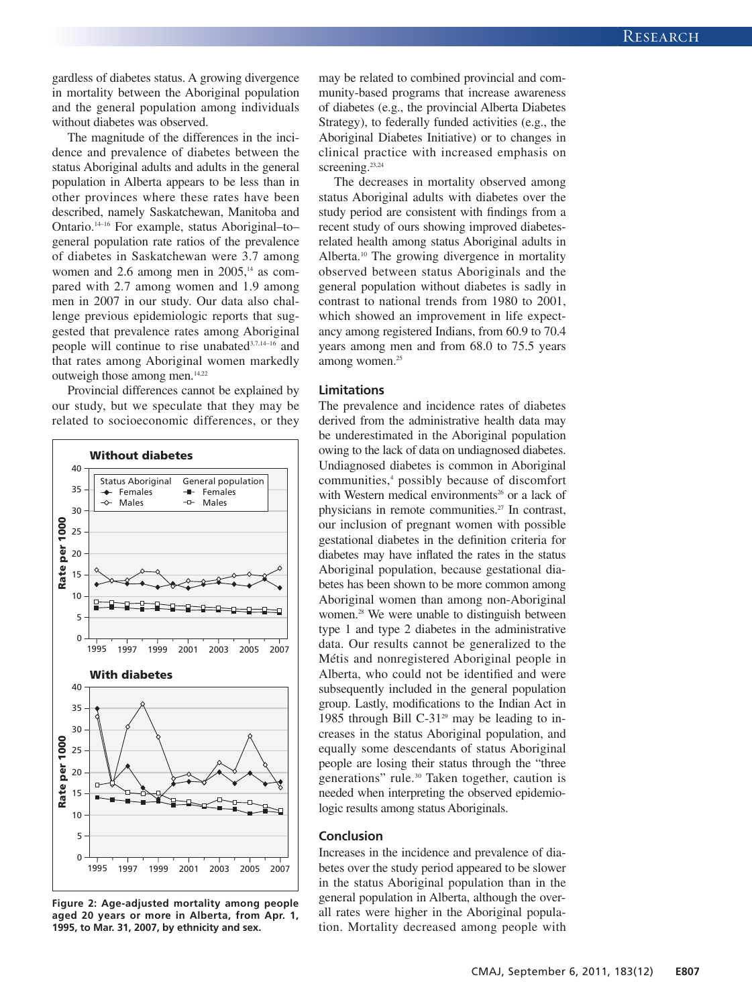gardless of diabetes status. A growing divergence in mortality between the Aboriginal population and the general population among individuals without diabetes was observed.

The magnitude of the differences in the incidence and prevalence of diabetes between the status Aboriginal adults and adults in the general population in Alberta appears to be less than in other provinces where these rates have been described, namely Saskatchewan, Manitoba and Ontario. 14–16 For example, status Aboriginal–to– general population rate ratios of the prevalence of diabetes in Saskatchewan were 3.7 among women and 2.6 among men in 2005,<sup>14</sup> as compared with 2.7 among women and 1.9 among men in 2007 in our study. Our data also challenge previous epidemiologic reports that suggested that prevalence rates among Aboriginal people will continue to rise unabated<sup>3,7,14-16</sup> and that rates among Aboriginal women markedly outweigh those among men.<sup>14,22</sup>

Provincial differences cannot be explained by our study, but we speculate that they may be related to socioeconomic differences, or they



**Figure 2: Age-adjusted mortality among people aged 20 years or more in Alberta, from Apr. 1, 1995, to Mar. 31, 2007, by ethnicity and sex.**

may be related to combined provincial and community-based programs that increase awareness of diabetes (e.g., the provincial Alberta Diabetes Strategy), to federally funded activities (e.g., the Aboriginal Diabetes Initiative) or to changes in clinical practice with increased emphasis on screening.<sup>23,24</sup>

The decreases in mortality observed among status Aboriginal adults with diabetes over the study period are consistent with findings from a recent study of ours showing improved diabetesrelated health among status Aboriginal adults in Alberta. <sup>10</sup> The growing divergence in mortality observed between status Aboriginals and the general population without diabetes is sadly in contrast to national trends from 1980 to 2001, which showed an improvement in life expectancy among registered Indians, from 60.9 to 70.4 years among men and from 68.0 to 75.5 years among women. 25

## **Limitations**

The prevalence and incidence rates of diabetes derived from the administrative health data may be underestimated in the Aboriginal population owing to the lack of data on undiagnosed diabetes. Undiagnosed diabetes is common in Aboriginal communities, <sup>4</sup> possibly because of discomfort with Western medical environments<sup>26</sup> or a lack of physicians in remote communities. <sup>27</sup> In contrast, our inclusion of pregnant women with possible gestational diabetes in the definition criteria for diabetes may have inflated the rates in the status Aboriginal population, because gestational diabetes has been shown to be more common among Aboriginal women than among non-Aboriginal women. <sup>28</sup> We were unable to distinguish between type 1 and type 2 diabetes in the administrative data. Our results cannot be generalized to the Métis and nonregistered Aboriginal people in Alberta, who could not be identified and were subsequently included in the general population group. Lastly, modifications to the Indian Act in 1985 through Bill C-31 $2^{\circ}$  may be leading to increases in the status Aboriginal population, and equally some descendants of status Aboriginal people are losing their status through the "three generations" rule. <sup>30</sup> Taken together, caution is needed when interpreting the observed epidemiologic results among status Aboriginals.

## **Conclusion**

Increases in the incidence and prevalence of diabetes over the study period appeared to be slower in the status Aboriginal population than in the general population in Alberta, although the overall rates were higher in the Aboriginal population. Mortality decreased among people with